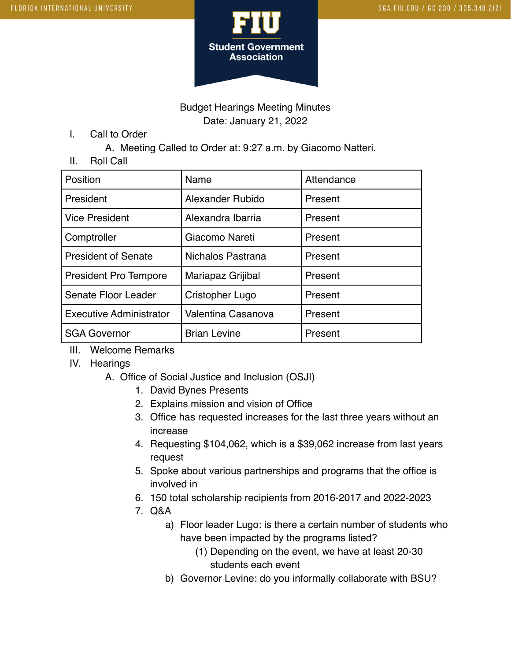

### Budget Hearings Meeting Minutes Date: January 21, 2022

I. Call to Order

A. Meeting Called to Order at: 9:27 a.m. by Giacomo Natteri.

II. Roll Call

| Position                       | Name                | Attendance |
|--------------------------------|---------------------|------------|
| President                      | Alexander Rubido    | Present    |
| <b>Vice President</b>          | Alexandra Ibarria   | Present    |
| Comptroller                    | Giacomo Nareti      | Present    |
| <b>President of Senate</b>     | Nichalos Pastrana   | Present    |
| <b>President Pro Tempore</b>   | Mariapaz Grijibal   | Present    |
| Senate Floor Leader            | Cristopher Lugo     | Present    |
| <b>Executive Administrator</b> | Valentina Casanova  | Present    |
| <b>SGA Governor</b>            | <b>Brian Levine</b> | Present    |

- III. Welcome Remarks
- IV. Hearings
	- A. Office of Social Justice and Inclusion (OSJI)
		- 1. David Bynes Presents
		- 2. Explains mission and vision of Office
		- 3. Office has requested increases for the last three years without an increase
		- 4. Requesting \$104,062, which is a \$39,062 increase from last years request
		- 5. Spoke about various partnerships and programs that the office is involved in
		- 6. 150 total scholarship recipients from 2016-2017 and 2022-2023
		- 7. Q&A
			- a) Floor leader Lugo: is there a certain number of students who have been impacted by the programs listed?
				- (1) Depending on the event, we have at least 20-30 students each event
			- b) Governor Levine: do you informally collaborate with BSU?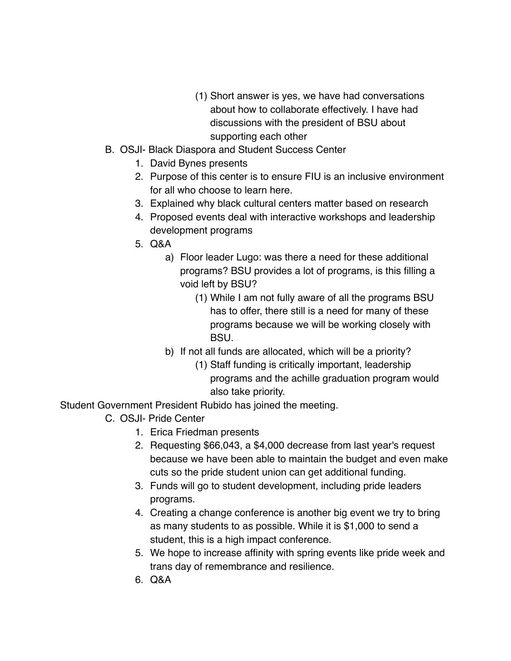- (1) Short answer is yes, we have had conversations about how to collaborate effectively. I have had discussions with the president of BSU about supporting each other
- B. OSJI- Black Diaspora and Student Success Center
	- 1. David Bynes presents
	- 2. Purpose of this center is to ensure FIU is an inclusive environment for all who choose to learn here.
	- 3. Explained why black cultural centers matter based on research
	- 4. Proposed events deal with interactive workshops and leadership development programs
	- 5. Q&A
		- a) Floor leader Lugo: was there a need for these additional programs? BSU provides a lot of programs, is this filling a void left by BSU?
			- (1) While I am not fully aware of all the programs BSU has to offer, there still is a need for many of these programs because we will be working closely with BSU.
		- b) If not all funds are allocated, which will be a priority?
			- (1) Staff funding is critically important, leadership programs and the achille graduation program would also take priority.

Student Government President Rubido has joined the meeting.

- C. OSJI- Pride Center
	- 1. Erica Friedman presents
	- 2. Requesting \$66,043, a \$4,000 decrease from last year's request because we have been able to maintain the budget and even make cuts so the pride student union can get additional funding.
	- 3. Funds will go to student development, including pride leaders programs.
	- 4. Creating a change conference is another big event we try to bring as many students to as possible. While it is \$1,000 to send a student, this is a high impact conference.
	- 5. We hope to increase affinity with spring events like pride week and trans day of remembrance and resilience.
	- 6. Q&A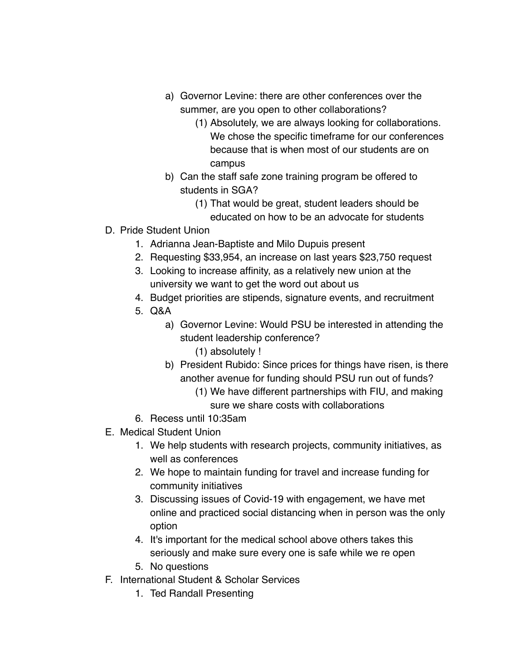- a) Governor Levine: there are other conferences over the summer, are you open to other collaborations?
	- (1) Absolutely, we are always looking for collaborations. We chose the specific timeframe for our conferences because that is when most of our students are on campus
- b) Can the staff safe zone training program be offered to students in SGA?
	- (1) That would be great, student leaders should be educated on how to be an advocate for students
- D. Pride Student Union
	- 1. Adrianna Jean-Baptiste and Milo Dupuis present
	- 2. Requesting \$33,954, an increase on last years \$23,750 request
	- 3. Looking to increase affinity, as a relatively new union at the university we want to get the word out about us
	- 4. Budget priorities are stipends, signature events, and recruitment
	- 5. Q&A
		- a) Governor Levine: Would PSU be interested in attending the student leadership conference?
			- (1) absolutely !
		- b) President Rubido: Since prices for things have risen, is there another avenue for funding should PSU run out of funds?
			- (1) We have different partnerships with FIU, and making sure we share costs with collaborations
	- 6. Recess until 10:35am
- E. Medical Student Union
	- 1. We help students with research projects, community initiatives, as well as conferences
	- 2. We hope to maintain funding for travel and increase funding for community initiatives
	- 3. Discussing issues of Covid-19 with engagement, we have met online and practiced social distancing when in person was the only option
	- 4. It's important for the medical school above others takes this seriously and make sure every one is safe while we re open
	- 5. No questions
- F. International Student & Scholar Services
	- 1. Ted Randall Presenting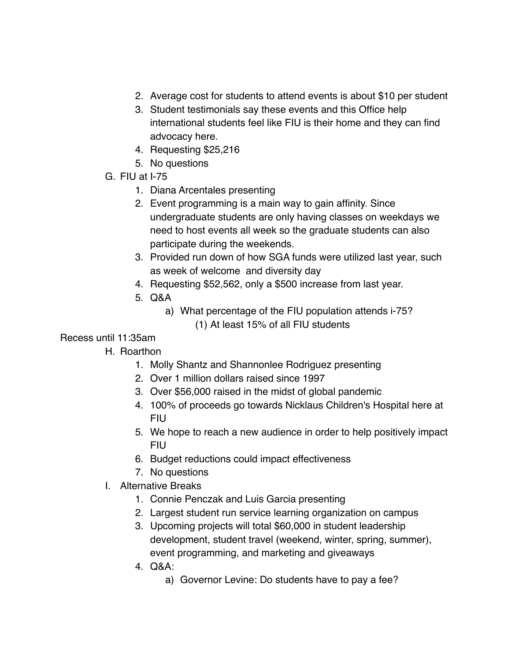- 2. Average cost for students to attend events is about \$10 per student
- 3. Student testimonials say these events and this Office help international students feel like FIU is their home and they can find advocacy here.
- 4. Requesting \$25,216
- 5. No questions
- G. FIU at I-75
	- 1. Diana Arcentales presenting
	- 2. Event programming is a main way to gain affinity. Since undergraduate students are only having classes on weekdays we need to host events all week so the graduate students can also participate during the weekends.
	- 3. Provided run down of how SGA funds were utilized last year, such as week of welcome and diversity day
	- 4. Requesting \$52,562, only a \$500 increase from last year.
	- 5. Q&A
		- a) What percentage of the FIU population attends i-75? (1) At least 15% of all FIU students
- Recess until 11:35am
	- H. Roarthon
		- 1. Molly Shantz and Shannonlee Rodriguez presenting
		- 2. Over 1 million dollars raised since 1997
		- 3. Over \$56,000 raised in the midst of global pandemic
		- 4. 100% of proceeds go towards Nicklaus Children's Hospital here at FIU
		- 5. We hope to reach a new audience in order to help positively impact FIU
		- 6. Budget reductions could impact effectiveness
		- 7. No questions
	- I. Alternative Breaks
		- 1. Connie Penczak and Luis Garcia presenting
		- 2. Largest student run service learning organization on campus
		- 3. Upcoming projects will total \$60,000 in student leadership development, student travel (weekend, winter, spring, summer), event programming, and marketing and giveaways
		- 4. Q&A:
			- a) Governor Levine: Do students have to pay a fee?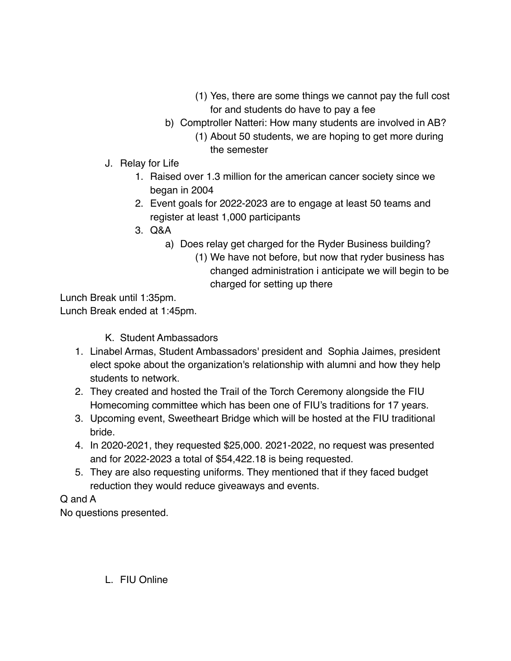- (1) Yes, there are some things we cannot pay the full cost for and students do have to pay a fee
- b) Comptroller Natteri: How many students are involved in AB? (1) About 50 students, we are hoping to get more during the semester
- J. Relay for Life
	- 1. Raised over 1.3 million for the american cancer society since we began in 2004
	- 2. Event goals for 2022-2023 are to engage at least 50 teams and register at least 1,000 participants
	- 3. Q&A
		- a) Does relay get charged for the Ryder Business building?
			- (1) We have not before, but now that ryder business has changed administration i anticipate we will begin to be charged for setting up there

Lunch Break until 1:35pm.

Lunch Break ended at 1:45pm.

K. Student Ambassadors

- 1. Linabel Armas, Student Ambassadors' president and Sophia Jaimes, president elect spoke about the organization's relationship with alumni and how they help students to network.
- 2. They created and hosted the Trail of the Torch Ceremony alongside the FIU Homecoming committee which has been one of FIU's traditions for 17 years.
- 3. Upcoming event, Sweetheart Bridge which will be hosted at the FIU traditional bride.
- 4. In 2020-2021, they requested \$25,000. 2021-2022, no request was presented and for 2022-2023 a total of \$54,422.18 is being requested.
- 5. They are also requesting uniforms. They mentioned that if they faced budget reduction they would reduce giveaways and events.

## Q and A

No questions presented.

L. FIU Online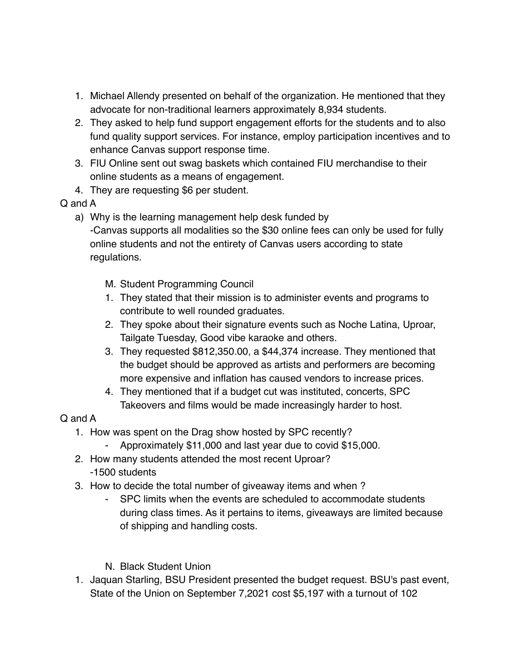- 1. Michael Allendy presented on behalf of the organization. He mentioned that they advocate for non-traditional learners approximately 8,934 students.
- 2. They asked to help fund support engagement efforts for the students and to also fund quality support services. For instance, employ participation incentives and to enhance Canvas support response time.
- 3. FIU Online sent out swag baskets which contained FIU merchandise to their online students as a means of engagement.
- 4. They are requesting \$6 per student.

## Q and A

a) Why is the learning management help desk funded by

-Canvas supports all modalities so the \$30 online fees can only be used for fully online students and not the entirety of Canvas users according to state regulations.

- M. Student Programming Council
- 1. They stated that their mission is to administer events and programs to contribute to well rounded graduates.
- 2. They spoke about their signature events such as Noche Latina, Uproar, Tailgate Tuesday, Good vibe karaoke and others.
- 3. They requested \$812,350.00, a \$44,374 increase. They mentioned that the budget should be approved as artists and performers are becoming more expensive and inflation has caused vendors to increase prices.
- 4. They mentioned that if a budget cut was instituted, concerts, SPC Takeovers and films would be made increasingly harder to host.

# Q and A

- 1. How was spent on the Drag show hosted by SPC recently?
	- Approximately \$11,000 and last year due to covid \$15,000.
- 2. How many students attended the most recent Uproar? -1500 students
- 3. How to decide the total number of giveaway items and when ?
	- SPC limits when the events are scheduled to accommodate students during class times. As it pertains to items, giveaways are limited because of shipping and handling costs.

## N. Black Student Union

1. Jaquan Starling, BSU President presented the budget request. BSU's past event, State of the Union on September 7,2021 cost \$5,197 with a turnout of 102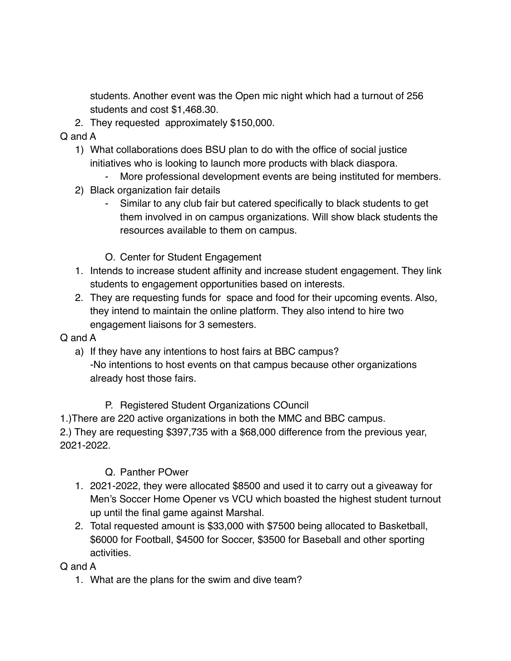students. Another event was the Open mic night which had a turnout of 256 students and cost \$1,468.30.

2. They requested approximately \$150,000.

Q and A

- 1) What collaborations does BSU plan to do with the office of social justice initiatives who is looking to launch more products with black diaspora.
	- More professional development events are being instituted for members.
- 2) Black organization fair details
	- Similar to any club fair but catered specifically to black students to get them involved in on campus organizations. Will show black students the resources available to them on campus.
	- O. Center for Student Engagement
- 1. Intends to increase student affinity and increase student engagement. They link students to engagement opportunities based on interests.
- 2. They are requesting funds for space and food for their upcoming events. Also, they intend to maintain the online platform. They also intend to hire two engagement liaisons for 3 semesters.

### Q and A

- a) If they have any intentions to host fairs at BBC campus? -No intentions to host events on that campus because other organizations already host those fairs.
	- P. Registered Student Organizations COuncil

1.)There are 220 active organizations in both the MMC and BBC campus.

2.) They are requesting \$397,735 with a \$68,000 difference from the previous year, 2021-2022.

- Q. Panther POwer
- 1. 2021-2022, they were allocated \$8500 and used it to carry out a giveaway for Men's Soccer Home Opener vs VCU which boasted the highest student turnout up until the final game against Marshal.
- 2. Total requested amount is \$33,000 with \$7500 being allocated to Basketball, \$6000 for Football, \$4500 for Soccer, \$3500 for Baseball and other sporting activities.

### Q and A

1. What are the plans for the swim and dive team?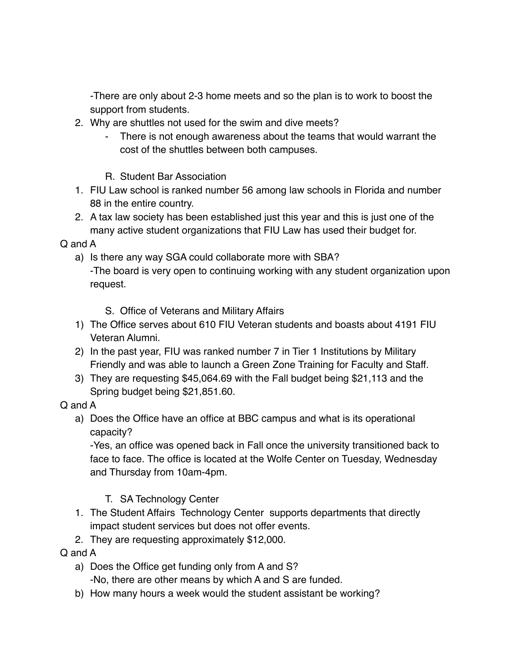-There are only about 2-3 home meets and so the plan is to work to boost the support from students.

- 2. Why are shuttles not used for the swim and dive meets?
	- There is not enough awareness about the teams that would warrant the cost of the shuttles between both campuses.
	- R. Student Bar Association
- 1. FIU Law school is ranked number 56 among law schools in Florida and number 88 in the entire country.
- 2. A tax law society has been established just this year and this is just one of the many active student organizations that FIU Law has used their budget for.

### Q and A

- a) Is there any way SGA could collaborate more with SBA? -The board is very open to continuing working with any student organization upon request.
	- S. Office of Veterans and Military Affairs
- 1) The Office serves about 610 FIU Veteran students and boasts about 4191 FIU Veteran Alumni.
- 2) In the past year, FIU was ranked number 7 in Tier 1 Institutions by Military Friendly and was able to launch a Green Zone Training for Faculty and Staff.
- 3) They are requesting \$45,064.69 with the Fall budget being \$21,113 and the Spring budget being \$21,851.60.

## Q and A

a) Does the Office have an office at BBC campus and what is its operational capacity?

-Yes, an office was opened back in Fall once the university transitioned back to face to face. The office is located at the Wolfe Center on Tuesday, Wednesday and Thursday from 10am-4pm.

## T. SA Technology Center

- 1. The Student Affairs Technology Center supports departments that directly impact student services but does not offer events.
- 2. They are requesting approximately \$12,000.

### Q and A

a) Does the Office get funding only from A and S?

-No, there are other means by which A and S are funded.

b) How many hours a week would the student assistant be working?